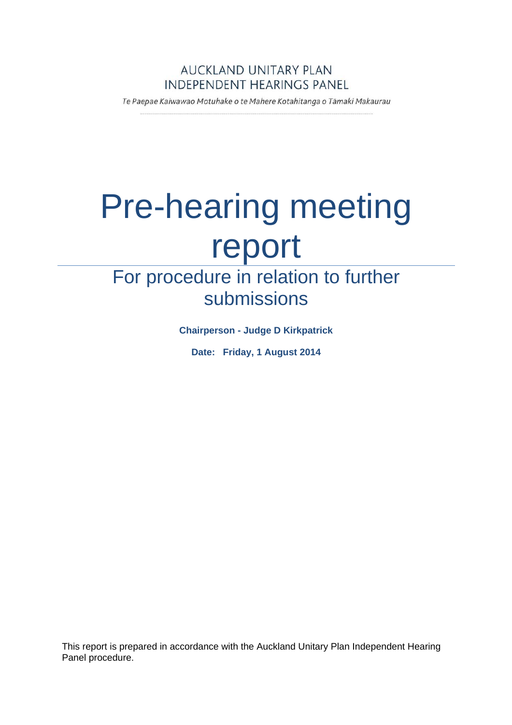## AUCKLAND UNITARY PLAN **INDEPENDENT HEARINGS PANEL**

Te Paepae Kaiwawao Motuhake o te Mahere Kotahitanga o Tāmaki Makaurau

# Pre-hearing meeting report

# For procedure in relation to further submissions

**Chairperson - Judge D Kirkpatrick** 

**Date: Friday, 1 August 2014** 

This report is prepared in accordance with the Auckland Unitary Plan Independent Hearing Panel procedure.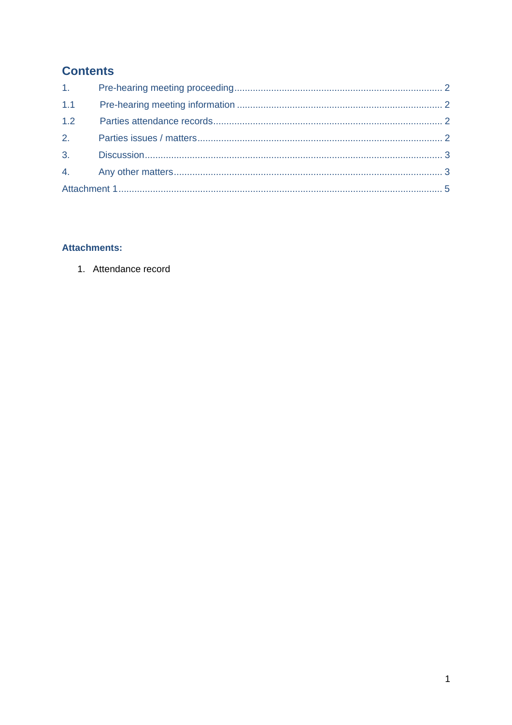# **Contents**

| 1.111 |  |
|-------|--|
| 1.1   |  |
| 1.2   |  |
| 2.    |  |
|       |  |
|       |  |
|       |  |

#### **Attachments:**

1. Attendance record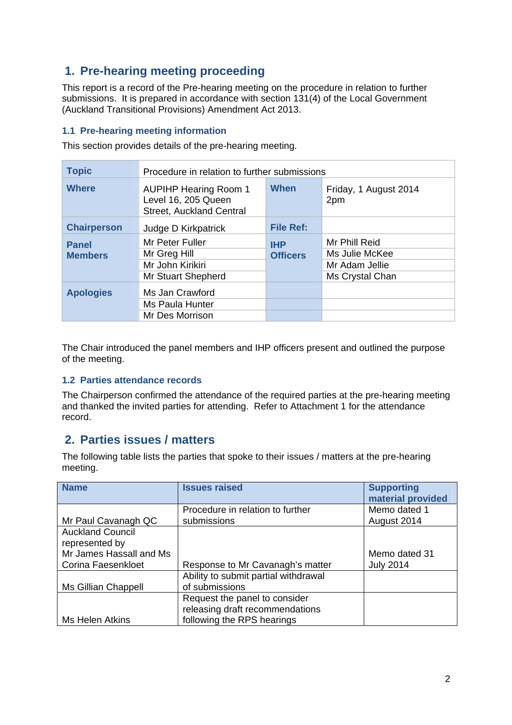# **1. Pre-hearing meeting proceeding**

This report is a record of the Pre-hearing meeting on the procedure in relation to further submissions. It is prepared in accordance with section 131(4) of the Local Government (Auckland Transitional Provisions) Amendment Act 2013.

#### **1.1 Pre-hearing meeting information**

This section provides details of the pre-hearing meeting.

| <b>Topic</b>                   | Procedure in relation to further submissions                                           |                               |                                                                      |
|--------------------------------|----------------------------------------------------------------------------------------|-------------------------------|----------------------------------------------------------------------|
| <b>Where</b>                   | <b>AUPIHP Hearing Room 1</b><br>Level 16, 205 Queen<br><b>Street, Auckland Central</b> | When                          | Friday, 1 August 2014<br>2pm                                         |
| <b>Chairperson</b>             | Judge D Kirkpatrick                                                                    | <b>File Ref:</b>              |                                                                      |
| <b>Panel</b><br><b>Members</b> | Mr Peter Fuller<br>Mr Greg Hill<br>Mr John Kirikiri<br>Mr Stuart Shepherd              | <b>IHP</b><br><b>Officers</b> | Mr Phill Reid<br>Ms Julie McKee<br>Mr Adam Jellie<br>Ms Crystal Chan |
| <b>Apologies</b>               | Ms Jan Crawford<br>Ms Paula Hunter<br>Mr Des Morrison                                  |                               |                                                                      |

The Chair introduced the panel members and IHP officers present and outlined the purpose of the meeting.

#### **1.2 Parties attendance records**

The Chairperson confirmed the attendance of the required parties at the pre-hearing meeting and thanked the invited parties for attending. Refer to Attachment 1 for the attendance record.

#### **2. Parties issues / matters**

The following table lists the parties that spoke to their issues / matters at the pre-hearing meeting.

| <b>Name</b>                                   | <b>Issues raised</b>                                                                           | <b>Supporting</b><br>material provided |
|-----------------------------------------------|------------------------------------------------------------------------------------------------|----------------------------------------|
| Mr Paul Cavanagh QC                           | Procedure in relation to further<br>submissions                                                | Memo dated 1<br>August 2014            |
| <b>Auckland Council</b><br>represented by     |                                                                                                |                                        |
| Mr James Hassall and Ms<br>Corina Faesenkloet | Response to Mr Cavanagh's matter                                                               | Memo dated 31<br><b>July 2014</b>      |
| Ms Gillian Chappell                           | Ability to submit partial withdrawal<br>of submissions                                         |                                        |
| Ms Helen Atkins                               | Request the panel to consider<br>releasing draft recommendations<br>following the RPS hearings |                                        |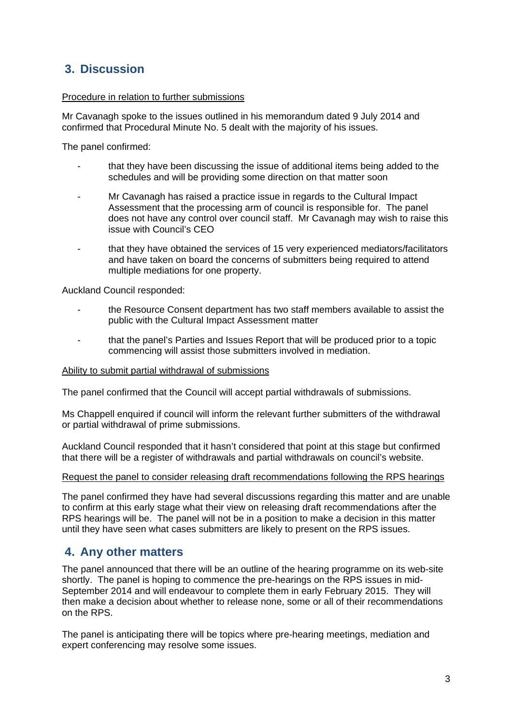# **3. Discussion**

#### Procedure in relation to further submissions

Mr Cavanagh spoke to the issues outlined in his memorandum dated 9 July 2014 and confirmed that Procedural Minute No. 5 dealt with the majority of his issues.

The panel confirmed:

- that they have been discussing the issue of additional items being added to the schedules and will be providing some direction on that matter soon
- Mr Cavanagh has raised a practice issue in regards to the Cultural Impact Assessment that the processing arm of council is responsible for. The panel does not have any control over council staff. Mr Cavanagh may wish to raise this issue with Council's CEO
- that they have obtained the services of 15 very experienced mediators/facilitators and have taken on board the concerns of submitters being required to attend multiple mediations for one property.

Auckland Council responded:

- the Resource Consent department has two staff members available to assist the public with the Cultural Impact Assessment matter
- that the panel's Parties and Issues Report that will be produced prior to a topic commencing will assist those submitters involved in mediation.

#### Ability to submit partial withdrawal of submissions

The panel confirmed that the Council will accept partial withdrawals of submissions.

Ms Chappell enquired if council will inform the relevant further submitters of the withdrawal or partial withdrawal of prime submissions.

Auckland Council responded that it hasn't considered that point at this stage but confirmed that there will be a register of withdrawals and partial withdrawals on council's website.

#### Request the panel to consider releasing draft recommendations following the RPS hearings

The panel confirmed they have had several discussions regarding this matter and are unable to confirm at this early stage what their view on releasing draft recommendations after the RPS hearings will be. The panel will not be in a position to make a decision in this matter until they have seen what cases submitters are likely to present on the RPS issues.

#### **4. Any other matters**

The panel announced that there will be an outline of the hearing programme on its web-site shortly. The panel is hoping to commence the pre-hearings on the RPS issues in mid-September 2014 and will endeavour to complete them in early February 2015. They will then make a decision about whether to release none, some or all of their recommendations on the RPS.

The panel is anticipating there will be topics where pre-hearing meetings, mediation and expert conferencing may resolve some issues.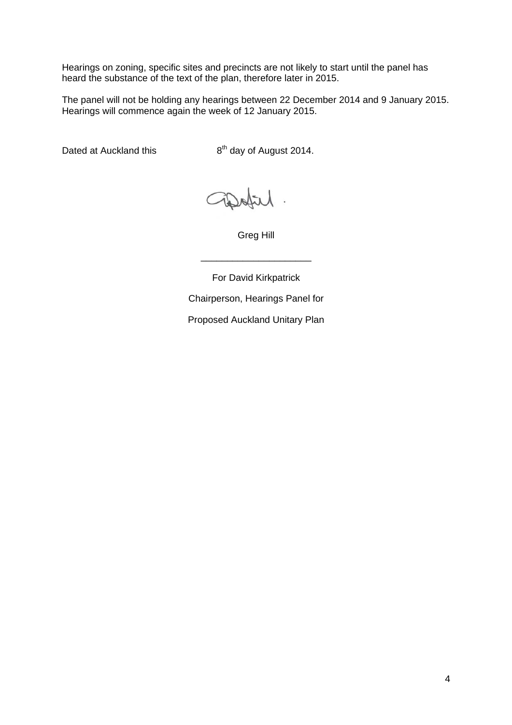Hearings on zoning, specific sites and precincts are not likely to start until the panel has heard the substance of the text of the plan, therefore later in 2015.

The panel will not be holding any hearings between 22 December 2014 and 9 January 2015. Hearings will commence again the week of 12 January 2015.

Dated at Auckland this  $8<sup>th</sup>$  day of August 2014.

Greg Hill

\_\_\_\_\_\_\_\_\_\_\_\_\_\_\_\_\_\_\_\_\_

For David Kirkpatrick

Chairperson, Hearings Panel for

Proposed Auckland Unitary Plan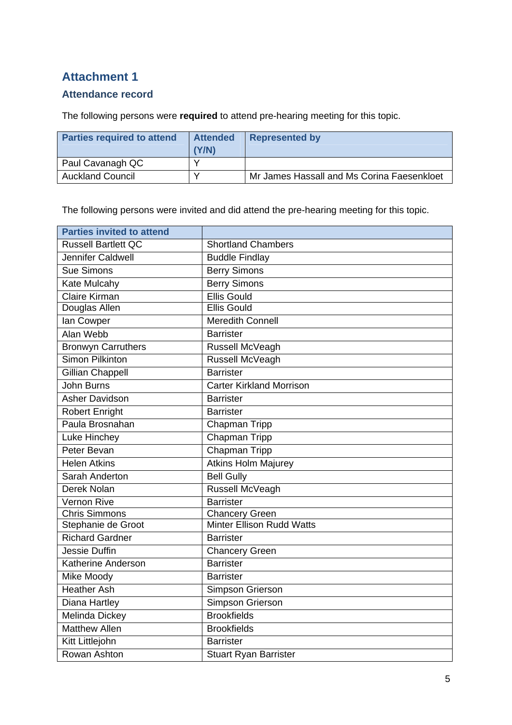# **Attachment 1**

## **Attendance record**

The following persons were **required** to attend pre-hearing meeting for this topic.

| <b>Parties required to attend</b> | <b>Attended</b><br>(Y/N) | <b>Represented by</b>                      |
|-----------------------------------|--------------------------|--------------------------------------------|
| Paul Cavanagh QC                  |                          |                                            |
| <b>Auckland Council</b>           |                          | Mr James Hassall and Ms Corina Faesenkloet |

The following persons were invited and did attend the pre-hearing meeting for this topic.

| <b>Parties invited to attend</b> |                                  |
|----------------------------------|----------------------------------|
| <b>Russell Bartlett QC</b>       | <b>Shortland Chambers</b>        |
| Jennifer Caldwell                | <b>Buddle Findlay</b>            |
| Sue Simons                       | <b>Berry Simons</b>              |
| <b>Kate Mulcahy</b>              | <b>Berry Simons</b>              |
| <b>Claire Kirman</b>             | <b>Ellis Gould</b>               |
| Douglas Allen                    | <b>Ellis Gould</b>               |
| lan Cowper                       | <b>Meredith Connell</b>          |
| Alan Webb                        | <b>Barrister</b>                 |
| <b>Bronwyn Carruthers</b>        | Russell McVeagh                  |
| <b>Simon Pilkinton</b>           | Russell McVeagh                  |
| <b>Gillian Chappell</b>          | <b>Barrister</b>                 |
| John Burns                       | <b>Carter Kirkland Morrison</b>  |
| <b>Asher Davidson</b>            | <b>Barrister</b>                 |
| <b>Robert Enright</b>            | <b>Barrister</b>                 |
| Paula Brosnahan                  | Chapman Tripp                    |
| Luke Hinchey                     | Chapman Tripp                    |
| Peter Bevan                      | Chapman Tripp                    |
| <b>Helen Atkins</b>              | <b>Atkins Holm Majurey</b>       |
| Sarah Anderton                   | <b>Bell Gully</b>                |
| Derek Nolan                      | Russell McVeagh                  |
| Vernon Rive                      | <b>Barrister</b>                 |
| <b>Chris Simmons</b>             | <b>Chancery Green</b>            |
| Stephanie de Groot               | <b>Minter Ellison Rudd Watts</b> |
| <b>Richard Gardner</b>           | <b>Barrister</b>                 |
| <b>Jessie Duffin</b>             | <b>Chancery Green</b>            |
| Katherine Anderson               | <b>Barrister</b>                 |
| Mike Moody                       | <b>Barrister</b>                 |
| <b>Heather Ash</b>               | Simpson Grierson                 |
| Diana Hartley                    | <b>Simpson Grierson</b>          |
| Melinda Dickey                   | <b>Brookfields</b>               |
| <b>Matthew Allen</b>             | <b>Brookfields</b>               |
| Kitt Littlejohn                  | <b>Barrister</b>                 |
| Rowan Ashton                     | <b>Stuart Ryan Barrister</b>     |